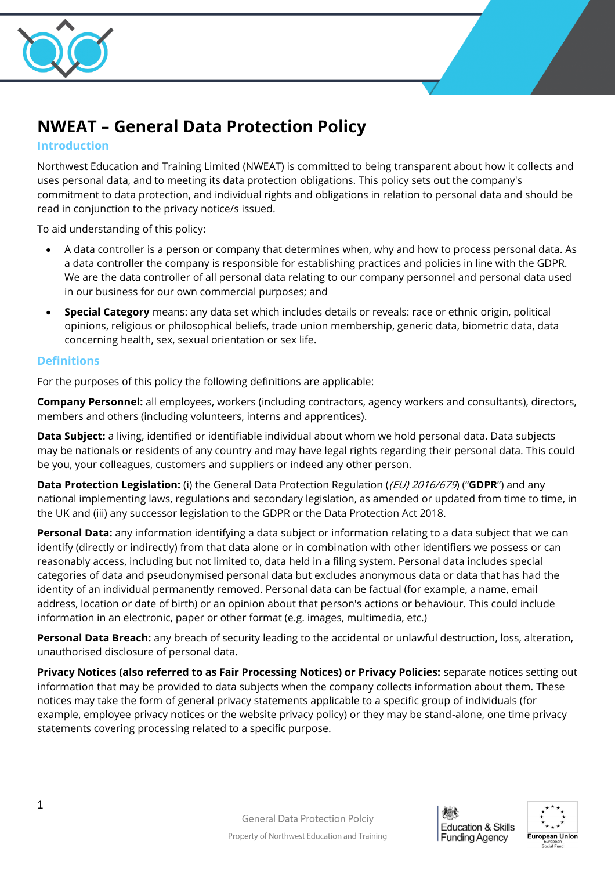

# **NWEAT – General Data Protection Policy**

#### **Introduction**

Northwest Education and Training Limited (NWEAT) is committed to being transparent about how it collects and uses personal data, and to meeting its data protection obligations. This policy sets out the company's commitment to data protection, and individual rights and obligations in relation to personal data and should be read in conjunction to the privacy notice/s issued.

To aid understanding of this policy:

- A data controller is a person or company that determines when, why and how to process personal data. As a data controller the company is responsible for establishing practices and policies in line with the GDPR. We are the data controller of all personal data relating to our company personnel and personal data used in our business for our own commercial purposes; and
- **Special Category** means: any data set which includes details or reveals: race or ethnic origin, political opinions, religious or philosophical beliefs, trade union membership, generic data, biometric data, data concerning health, sex, sexual orientation or sex life.

## **Definitions**

For the purposes of this policy the following definitions are applicable:

**Company Personnel:** all employees, workers (including contractors, agency workers and consultants), directors, members and others (including volunteers, interns and apprentices).

**Data Subject:** a living, identified or identifiable individual about whom we hold personal data. Data subjects may be nationals or residents of any country and may have legal rights regarding their personal data. This could be you, your colleagues, customers and suppliers or indeed any other person.

**Data Protection Legislation:** (i) the General Data Protection Regulation ((EU) 2016/679) ("**GDPR**") and any national implementing laws, regulations and secondary legislation, as amended or updated from time to time, in the UK and (iii) any successor legislation to the GDPR or the Data Protection Act 2018.

**Personal Data:** any information identifying a data subject or information relating to a data subject that we can identify (directly or indirectly) from that data alone or in combination with other identifiers we possess or can reasonably access, including but not limited to, data held in a filing system. Personal data includes special categories of data and pseudonymised personal data but excludes anonymous data or data that has had the identity of an individual permanently removed. Personal data can be factual (for example, a name, email address, location or date of birth) or an opinion about that person's actions or behaviour. This could include information in an electronic, paper or other format (e.g. images, multimedia, etc.)

**Personal Data Breach:** any breach of security leading to the accidental or unlawful destruction, loss, alteration, unauthorised disclosure of personal data.

**Privacy Notices (also referred to as Fair Processing Notices) or Privacy Policies:** separate notices setting out information that may be provided to data subjects when the company collects information about them. These notices may take the form of general privacy statements applicable to a specific group of individuals (for example, employee privacy notices or the website privacy policy) or they may be stand-alone, one time privacy statements covering processing related to a specific purpose.



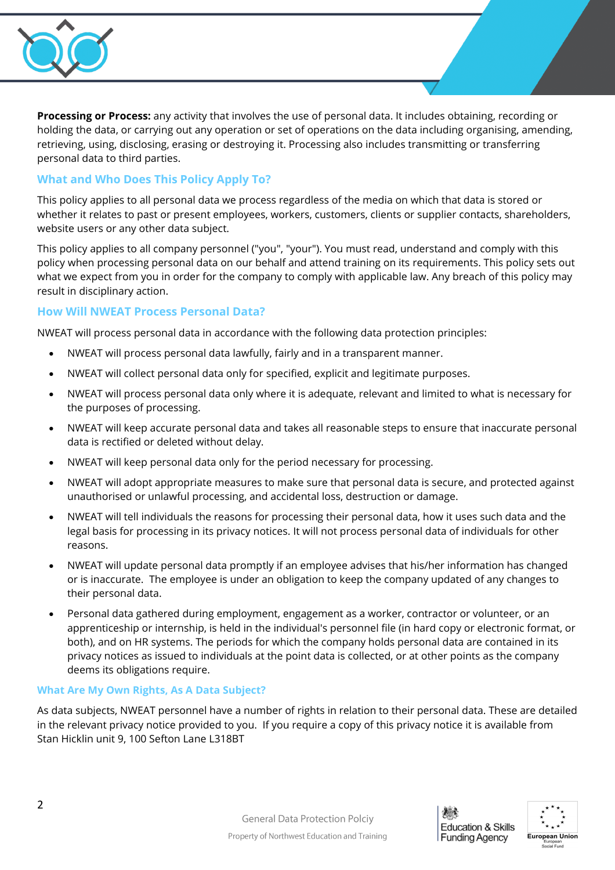

**Processing or Process:** any activity that involves the use of personal data. It includes obtaining, recording or holding the data, or carrying out any operation or set of operations on the data including organising, amending, retrieving, using, disclosing, erasing or destroying it. Processing also includes transmitting or transferring personal data to third parties.

# **What and Who Does This Policy Apply To?**

This policy applies to all personal data we process regardless of the media on which that data is stored or whether it relates to past or present employees, workers, customers, clients or supplier contacts, shareholders, website users or any other data subject.

This policy applies to all company personnel ("you", "your"). You must read, understand and comply with this policy when processing personal data on our behalf and attend training on its requirements. This policy sets out what we expect from you in order for the company to comply with applicable law. Any breach of this policy may result in disciplinary action.

## **How Will NWEAT Process Personal Data?**

NWEAT will process personal data in accordance with the following data protection principles:

- NWEAT will process personal data lawfully, fairly and in a transparent manner.
- NWEAT will collect personal data only for specified, explicit and legitimate purposes.
- NWEAT will process personal data only where it is adequate, relevant and limited to what is necessary for the purposes of processing.
- NWEAT will keep accurate personal data and takes all reasonable steps to ensure that inaccurate personal data is rectified or deleted without delay.
- NWEAT will keep personal data only for the period necessary for processing.
- NWEAT will adopt appropriate measures to make sure that personal data is secure, and protected against unauthorised or unlawful processing, and accidental loss, destruction or damage.
- NWEAT will tell individuals the reasons for processing their personal data, how it uses such data and the legal basis for processing in its privacy notices. It will not process personal data of individuals for other reasons.
- NWEAT will update personal data promptly if an employee advises that his/her information has changed or is inaccurate. The employee is under an obligation to keep the company updated of any changes to their personal data.
- Personal data gathered during employment, engagement as a worker, contractor or volunteer, or an apprenticeship or internship, is held in the individual's personnel file (in hard copy or electronic format, or both), and on HR systems. The periods for which the company holds personal data are contained in its privacy notices as issued to individuals at the point data is collected, or at other points as the company deems its obligations require.

#### **What Are My Own Rights, As A Data Subject?**

As data subjects, NWEAT personnel have a number of rights in relation to their personal data. These are detailed in the relevant privacy notice provided to you. If you require a copy of this privacy notice it is available from Stan Hicklin unit 9, 100 Sefton Lane L318BT



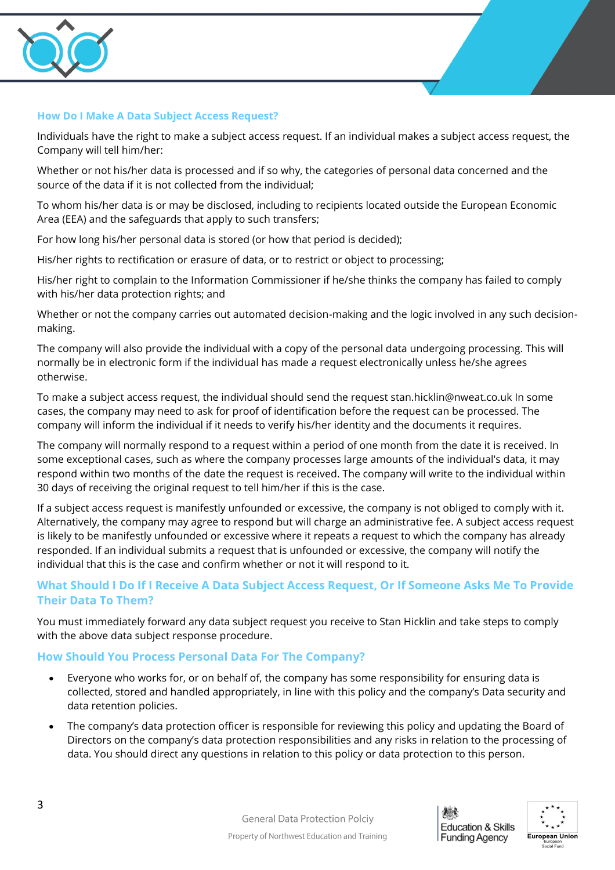

#### **How Do I Make A Data Subject Access Request?**

Individuals have the right to make a subject access request. If an individual makes a subject access request, the Company will tell him/her:

Whether or not his/her data is processed and if so why, the categories of personal data concerned and the source of the data if it is not collected from the individual;

To whom his/her data is or may be disclosed, including to recipients located outside the European Economic Area (EEA) and the safeguards that apply to such transfers;

For how long his/her personal data is stored (or how that period is decided);

His/her rights to rectification or erasure of data, or to restrict or object to processing;

His/her right to complain to the Information Commissioner if he/she thinks the company has failed to comply with his/her data protection rights; and

Whether or not the company carries out automated decision-making and the logic involved in any such decisionmaking.

The company will also provide the individual with a copy of the personal data undergoing processing. This will normally be in electronic form if the individual has made a request electronically unless he/she agrees otherwise.

To make a subject access request, the individual should send the request stan.hicklin@nweat.co.uk In some cases, the company may need to ask for proof of identification before the request can be processed. The company will inform the individual if it needs to verify his/her identity and the documents it requires.

The company will normally respond to a request within a period of one month from the date it is received. In some exceptional cases, such as where the company processes large amounts of the individual's data, it may respond within two months of the date the request is received. The company will write to the individual within 30 days of receiving the original request to tell him/her if this is the case.

If a subject access request is manifestly unfounded or excessive, the company is not obliged to comply with it. Alternatively, the company may agree to respond but will charge an administrative fee. A subject access request is likely to be manifestly unfounded or excessive where it repeats a request to which the company has already responded. If an individual submits a request that is unfounded or excessive, the company will notify the individual that this is the case and confirm whether or not it will respond to it.

## **What Should I Do If I Receive A Data Subject Access Request, Or If Someone Asks Me To Provide Their Data To Them?**

You must immediately forward any data subject request you receive to Stan Hicklin and take steps to comply with the above data subject response procedure.

#### **How Should You Process Personal Data For The Company?**

- Everyone who works for, or on behalf of, the company has some responsibility for ensuring data is collected, stored and handled appropriately, in line with this policy and the company's Data security and data retention policies.
- The company's data protection officer is responsible for reviewing this policy and updating the Board of Directors on the company's data protection responsibilities and any risks in relation to the processing of data. You should direct any questions in relation to this policy or data protection to this person.



**General Data Protection Polciy** Property of Northwest Education and Training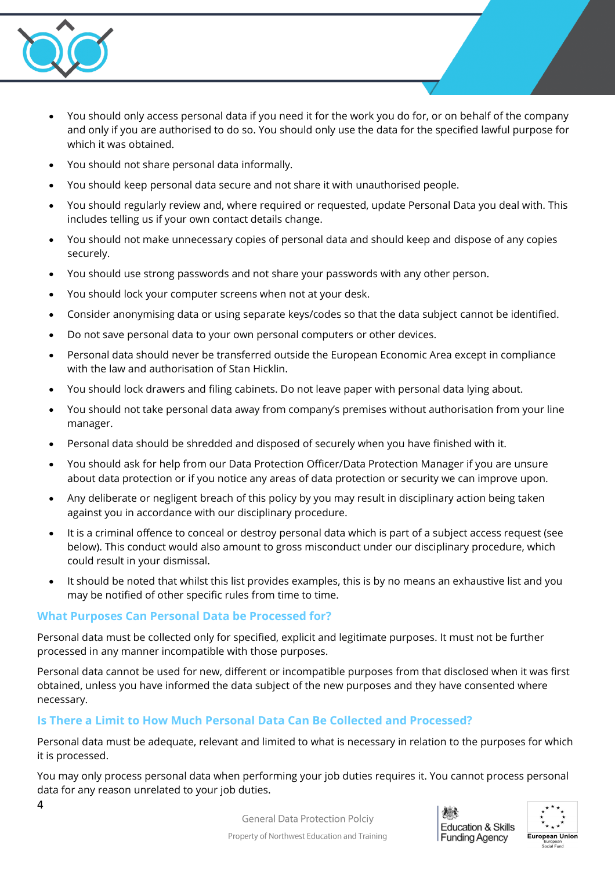

- You should only access personal data if you need it for the work you do for, or on behalf of the company and only if you are authorised to do so. You should only use the data for the specified lawful purpose for which it was obtained.
- You should not share personal data informally.
- You should keep personal data secure and not share it with unauthorised people.
- You should regularly review and, where required or requested, update Personal Data you deal with. This includes telling us if your own contact details change.
- You should not make unnecessary copies of personal data and should keep and dispose of any copies securely.
- You should use strong passwords and not share your passwords with any other person.
- You should lock your computer screens when not at your desk.
- Consider anonymising data or using separate keys/codes so that the data subject cannot be identified.
- Do not save personal data to your own personal computers or other devices.
- Personal data should never be transferred outside the European Economic Area except in compliance with the law and authorisation of Stan Hicklin.
- You should lock drawers and filing cabinets. Do not leave paper with personal data lying about.
- You should not take personal data away from company's premises without authorisation from your line manager.
- Personal data should be shredded and disposed of securely when you have finished with it.
- You should ask for help from our Data Protection Officer/Data Protection Manager if you are unsure about data protection or if you notice any areas of data protection or security we can improve upon.
- Any deliberate or negligent breach of this policy by you may result in disciplinary action being taken against you in accordance with our disciplinary procedure.
- It is a criminal offence to conceal or destroy personal data which is part of a subject access request (see below). This conduct would also amount to gross misconduct under our disciplinary procedure, which could result in your dismissal.
- It should be noted that whilst this list provides examples, this is by no means an exhaustive list and you may be notified of other specific rules from time to time.

## **What Purposes Can Personal Data be Processed for?**

Personal data must be collected only for specified, explicit and legitimate purposes. It must not be further processed in any manner incompatible with those purposes.

Personal data cannot be used for new, different or incompatible purposes from that disclosed when it was first obtained, unless you have informed the data subject of the new purposes and they have consented where necessary.

## **Is There a Limit to How Much Personal Data Can Be Collected and Processed?**

Personal data must be adequate, relevant and limited to what is necessary in relation to the purposes for which it is processed.

You may only process personal data when performing your job duties requires it. You cannot process personal data for any reason unrelated to your job duties.



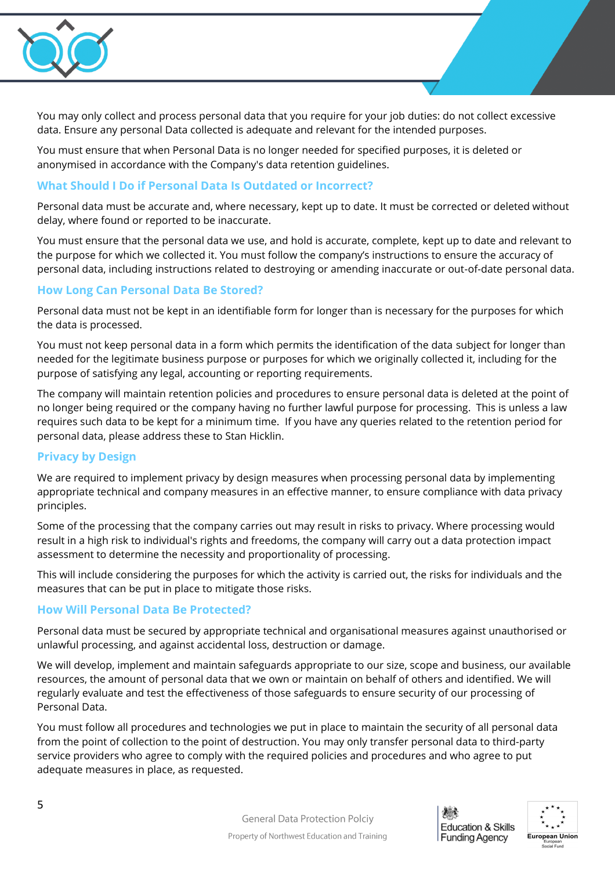

You may only collect and process personal data that you require for your job duties: do not collect excessive data. Ensure any personal Data collected is adequate and relevant for the intended purposes.

You must ensure that when Personal Data is no longer needed for specified purposes, it is deleted or anonymised in accordance with the Company's data retention guidelines.

#### **What Should I Do if Personal Data Is Outdated or Incorrect?**

Personal data must be accurate and, where necessary, kept up to date. It must be corrected or deleted without delay, where found or reported to be inaccurate.

You must ensure that the personal data we use, and hold is accurate, complete, kept up to date and relevant to the purpose for which we collected it. You must follow the company's instructions to ensure the accuracy of personal data, including instructions related to destroying or amending inaccurate or out-of-date personal data.

#### **How Long Can Personal Data Be Stored?**

Personal data must not be kept in an identifiable form for longer than is necessary for the purposes for which the data is processed.

You must not keep personal data in a form which permits the identification of the data subject for longer than needed for the legitimate business purpose or purposes for which we originally collected it, including for the purpose of satisfying any legal, accounting or reporting requirements.

The company will maintain retention policies and procedures to ensure personal data is deleted at the point of no longer being required or the company having no further lawful purpose for processing. This is unless a law requires such data to be kept for a minimum time. If you have any queries related to the retention period for personal data, please address these to Stan Hicklin.

## **Privacy by Design**

We are required to implement privacy by design measures when processing personal data by implementing appropriate technical and company measures in an effective manner, to ensure compliance with data privacy principles.

Some of the processing that the company carries out may result in risks to privacy. Where processing would result in a high risk to individual's rights and freedoms, the company will carry out a data protection impact assessment to determine the necessity and proportionality of processing.

This will include considering the purposes for which the activity is carried out, the risks for individuals and the measures that can be put in place to mitigate those risks.

#### **How Will Personal Data Be Protected?**

Personal data must be secured by appropriate technical and organisational measures against unauthorised or unlawful processing, and against accidental loss, destruction or damage.

We will develop, implement and maintain safeguards appropriate to our size, scope and business, our available resources, the amount of personal data that we own or maintain on behalf of others and identified. We will regularly evaluate and test the effectiveness of those safeguards to ensure security of our processing of Personal Data.

You must follow all procedures and technologies we put in place to maintain the security of all personal data from the point of collection to the point of destruction. You may only transfer personal data to third-party service providers who agree to comply with the required policies and procedures and who agree to put adequate measures in place, as requested.



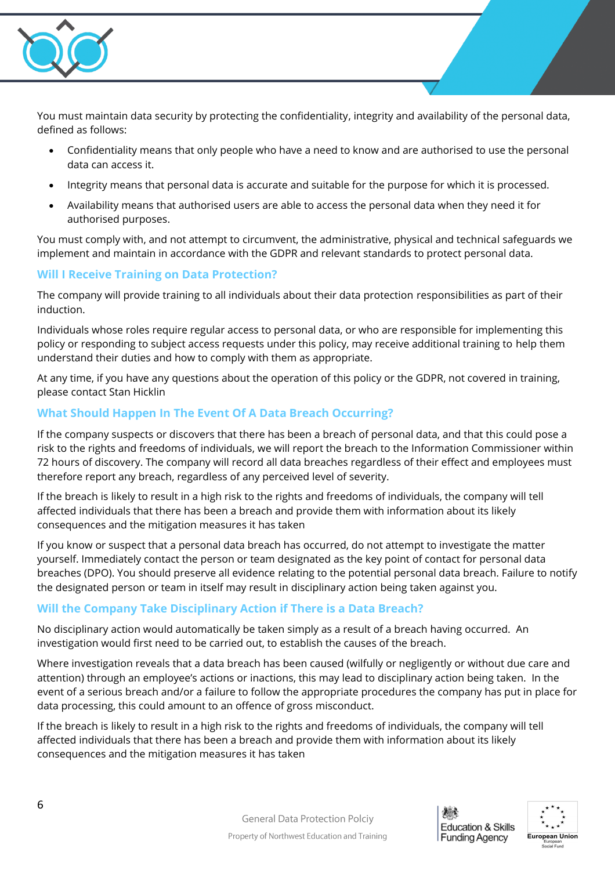

You must maintain data security by protecting the confidentiality, integrity and availability of the personal data, defined as follows:

- Confidentiality means that only people who have a need to know and are authorised to use the personal data can access it.
- Integrity means that personal data is accurate and suitable for the purpose for which it is processed.
- Availability means that authorised users are able to access the personal data when they need it for authorised purposes.

You must comply with, and not attempt to circumvent, the administrative, physical and technical safeguards we implement and maintain in accordance with the GDPR and relevant standards to protect personal data.

# **Will I Receive Training on Data Protection?**

The company will provide training to all individuals about their data protection responsibilities as part of their induction.

Individuals whose roles require regular access to personal data, or who are responsible for implementing this policy or responding to subject access requests under this policy, may receive additional training to help them understand their duties and how to comply with them as appropriate.

At any time, if you have any questions about the operation of this policy or the GDPR, not covered in training, please contact Stan Hicklin

# **What Should Happen In The Event Of A Data Breach Occurring?**

If the company suspects or discovers that there has been a breach of personal data, and that this could pose a risk to the rights and freedoms of individuals, we will report the breach to the Information Commissioner within 72 hours of discovery. The company will record all data breaches regardless of their effect and employees must therefore report any breach, regardless of any perceived level of severity.

If the breach is likely to result in a high risk to the rights and freedoms of individuals, the company will tell affected individuals that there has been a breach and provide them with information about its likely consequences and the mitigation measures it has taken

If you know or suspect that a personal data breach has occurred, do not attempt to investigate the matter yourself. Immediately contact the person or team designated as the key point of contact for personal data breaches (DPO). You should preserve all evidence relating to the potential personal data breach. Failure to notify the designated person or team in itself may result in disciplinary action being taken against you.

## **Will the Company Take Disciplinary Action if There is a Data Breach?**

No disciplinary action would automatically be taken simply as a result of a breach having occurred. An investigation would first need to be carried out, to establish the causes of the breach.

Where investigation reveals that a data breach has been caused (wilfully or negligently or without due care and attention) through an employee's actions or inactions, this may lead to disciplinary action being taken. In the event of a serious breach and/or a failure to follow the appropriate procedures the company has put in place for data processing, this could amount to an offence of gross misconduct.

If the breach is likely to result in a high risk to the rights and freedoms of individuals, the company will tell affected individuals that there has been a breach and provide them with information about its likely consequences and the mitigation measures it has taken